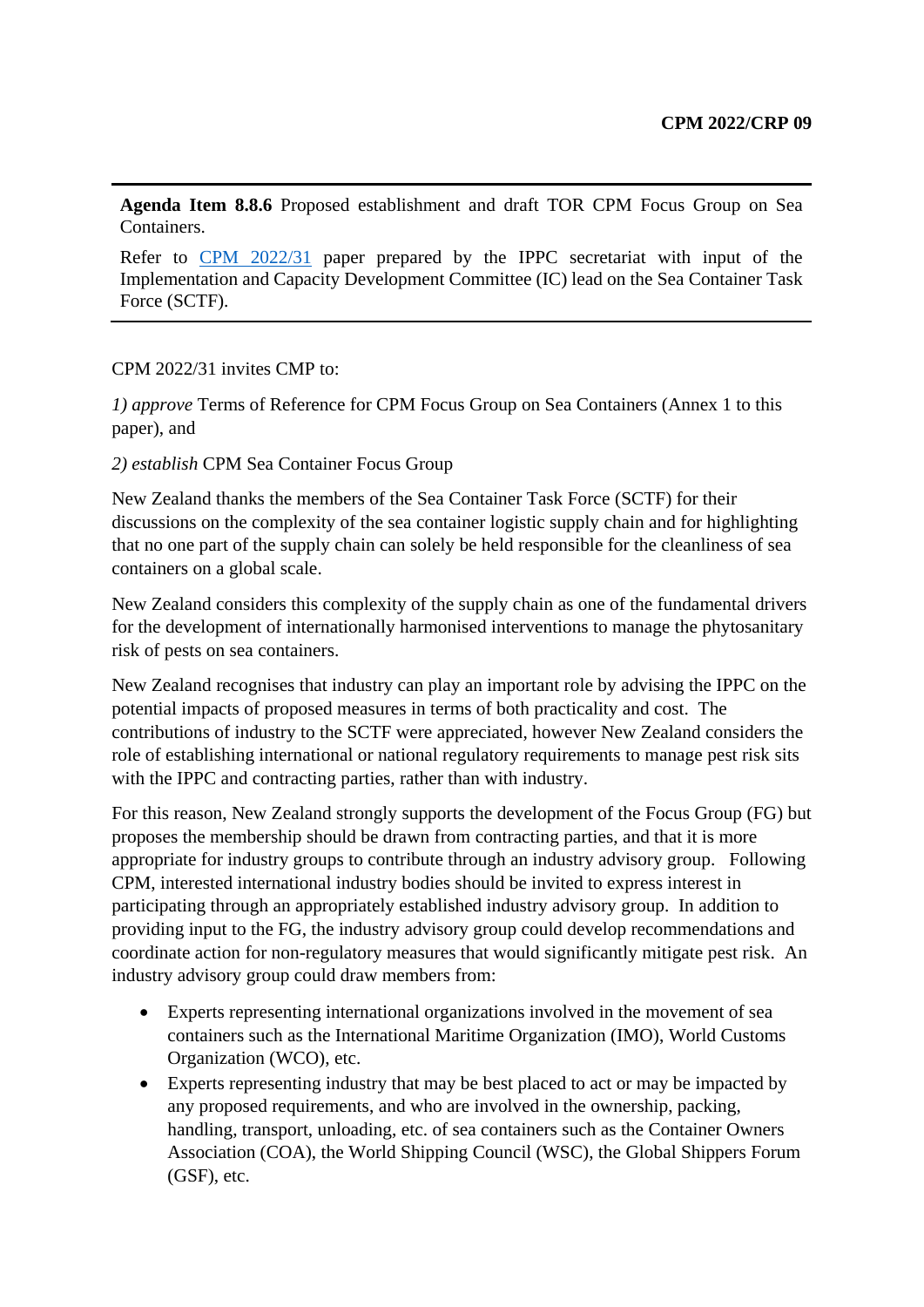**Agenda Item 8.8.6** Proposed establishment and draft TOR CPM Focus Group on Sea Containers.

Refer to [CPM 2022/31](https://ippc.int/en/publications/90713/) paper prepared by the IPPC secretariat with input of the Implementation and Capacity Development Committee (IC) lead on the Sea Container Task Force (SCTF).

#### CPM 2022/31 invites CMP to:

*1) approve* Terms of Reference for CPM Focus Group on Sea Containers (Annex 1 to this paper), and

*2) establish* CPM Sea Container Focus Group

New Zealand thanks the members of the Sea Container Task Force (SCTF) for their discussions on the complexity of the sea container logistic supply chain and for highlighting that no one part of the supply chain can solely be held responsible for the cleanliness of sea containers on a global scale.

New Zealand considers this complexity of the supply chain as one of the fundamental drivers for the development of internationally harmonised interventions to manage the phytosanitary risk of pests on sea containers.

New Zealand recognises that industry can play an important role by advising the IPPC on the potential impacts of proposed measures in terms of both practicality and cost. The contributions of industry to the SCTF were appreciated, however New Zealand considers the role of establishing international or national regulatory requirements to manage pest risk sits with the IPPC and contracting parties, rather than with industry.

For this reason, New Zealand strongly supports the development of the Focus Group (FG) but proposes the membership should be drawn from contracting parties, and that it is more appropriate for industry groups to contribute through an industry advisory group. Following CPM, interested international industry bodies should be invited to express interest in participating through an appropriately established industry advisory group. In addition to providing input to the FG, the industry advisory group could develop recommendations and coordinate action for non-regulatory measures that would significantly mitigate pest risk. An industry advisory group could draw members from:

- Experts representing international organizations involved in the movement of sea containers such as the International Maritime Organization (IMO), World Customs Organization (WCO), etc.
- Experts representing industry that may be best placed to act or may be impacted by any proposed requirements, and who are involved in the ownership, packing, handling, transport, unloading, etc. of sea containers such as the Container Owners Association (COA), the World Shipping Council (WSC), the Global Shippers Forum (GSF), etc.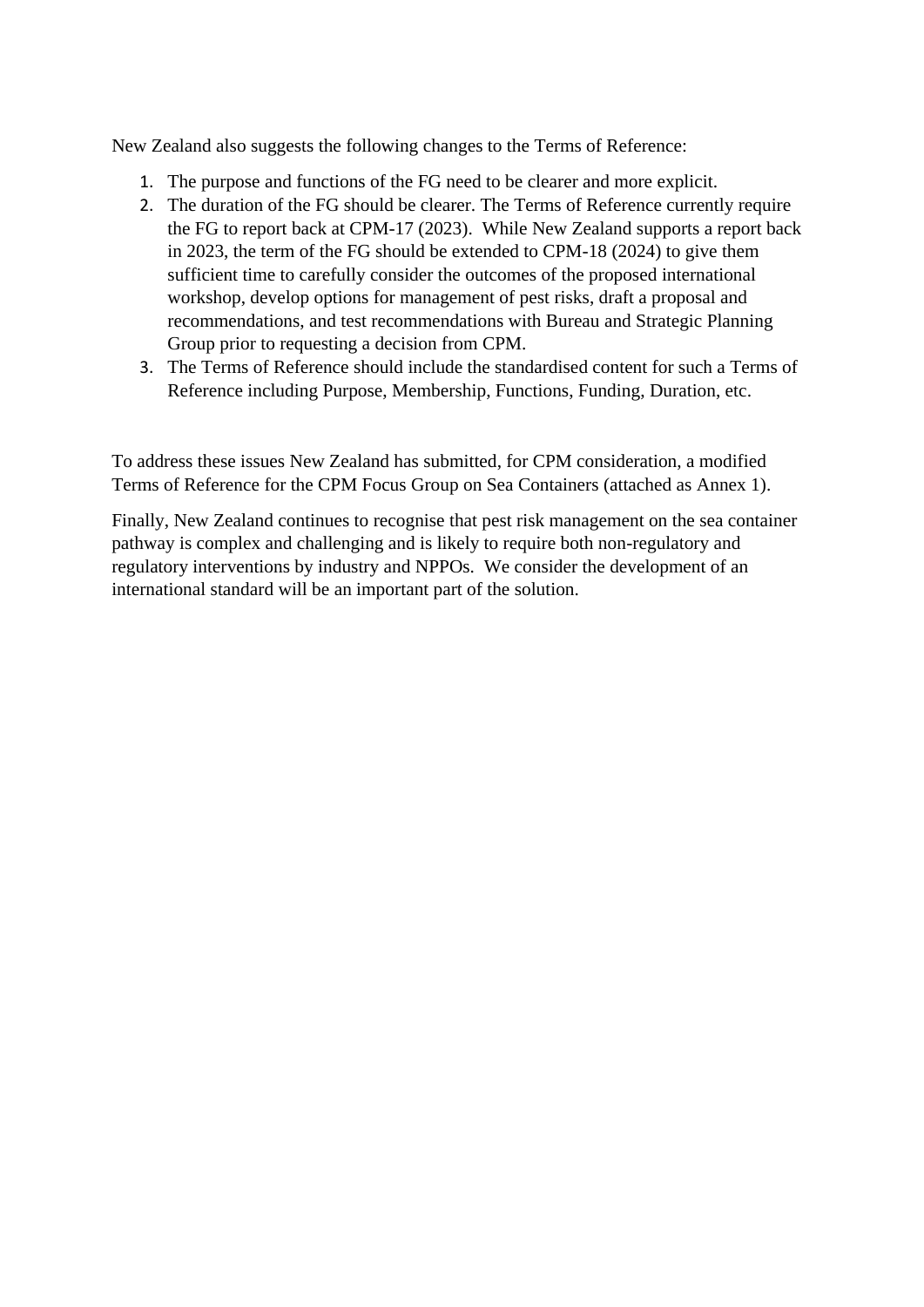New Zealand also suggests the following changes to the Terms of Reference:

- 1. The purpose and functions of the FG need to be clearer and more explicit.
- 2. The duration of the FG should be clearer. The Terms of Reference currently require the FG to report back at CPM-17 (2023). While New Zealand supports a report back in 2023, the term of the FG should be extended to CPM-18 (2024) to give them sufficient time to carefully consider the outcomes of the proposed international workshop, develop options for management of pest risks, draft a proposal and recommendations, and test recommendations with Bureau and Strategic Planning Group prior to requesting a decision from CPM.
- 3. The Terms of Reference should include the standardised content for such a Terms of Reference including Purpose, Membership, Functions, Funding, Duration, etc.

To address these issues New Zealand has submitted, for CPM consideration, a modified Terms of Reference for the CPM Focus Group on Sea Containers (attached as Annex 1).

Finally, New Zealand continues to recognise that pest risk management on the sea container pathway is complex and challenging and is likely to require both non-regulatory and regulatory interventions by industry and NPPOs. We consider the development of an international standard will be an important part of the solution.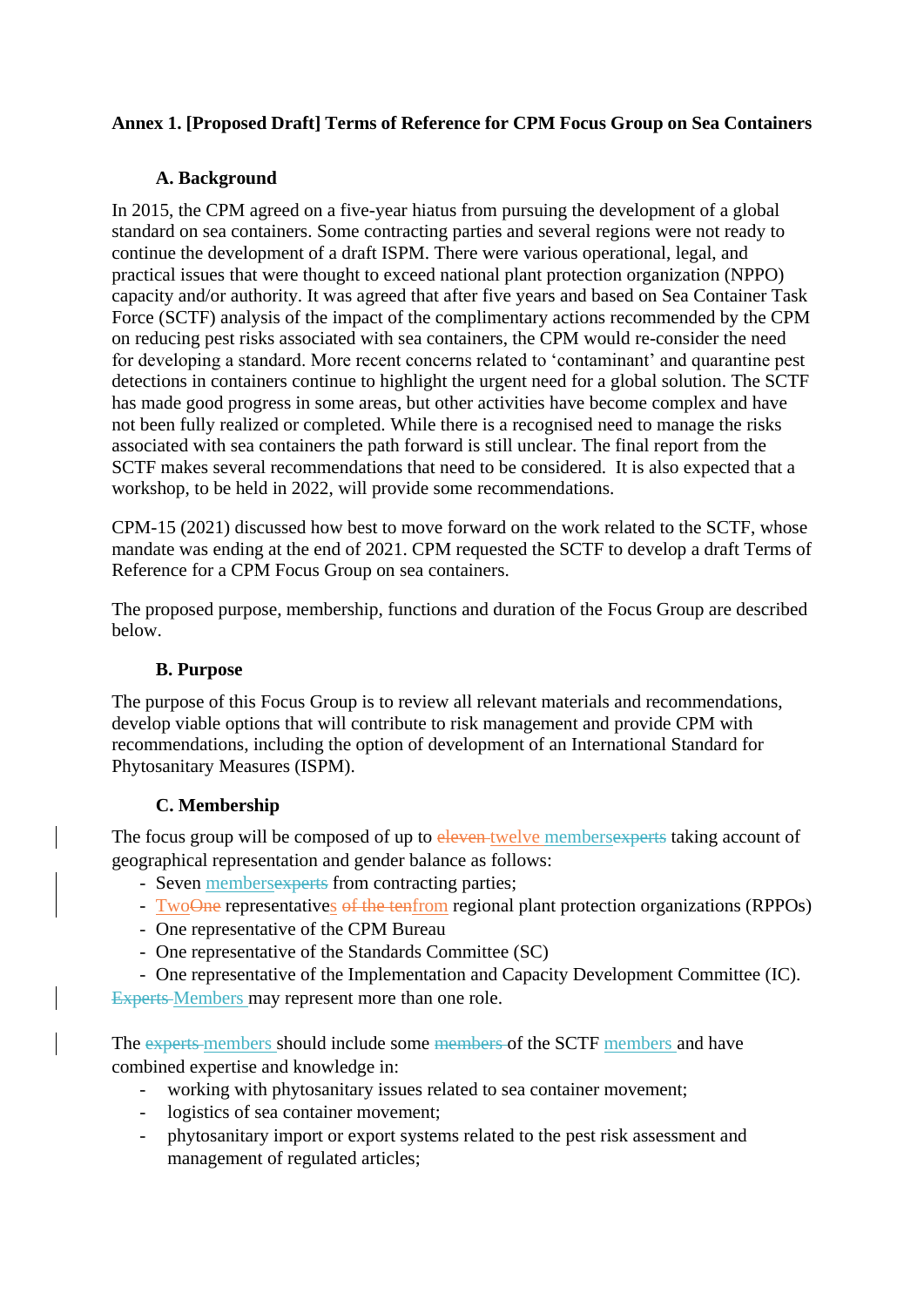## **Annex 1. [Proposed Draft] Terms of Reference for CPM Focus Group on Sea Containers**

#### **A. Background**

In 2015, the CPM agreed on a five-year hiatus from pursuing the development of a global standard on sea containers. Some contracting parties and several regions were not ready to continue the development of a draft ISPM. There were various operational, legal, and practical issues that were thought to exceed national plant protection organization (NPPO) capacity and/or authority. It was agreed that after five years and based on Sea Container Task Force (SCTF) analysis of the impact of the complimentary actions recommended by the CPM on reducing pest risks associated with sea containers, the CPM would re-consider the need for developing a standard. More recent concerns related to 'contaminant' and quarantine pest detections in containers continue to highlight the urgent need for a global solution. The SCTF has made good progress in some areas, but other activities have become complex and have not been fully realized or completed. While there is a recognised need to manage the risks associated with sea containers the path forward is still unclear. The final report from the SCTF makes several recommendations that need to be considered. It is also expected that a workshop, to be held in 2022, will provide some recommendations.

CPM-15 (2021) discussed how best to move forward on the work related to the SCTF, whose mandate was ending at the end of 2021. CPM requested the SCTF to develop a draft Terms of Reference for a CPM Focus Group on sea containers.

The proposed purpose, membership, functions and duration of the Focus Group are described below.

#### **B. Purpose**

The purpose of this Focus Group is to review all relevant materials and recommendations, develop viable options that will contribute to risk management and provide CPM with recommendations, including the option of development of an International Standard for Phytosanitary Measures (ISPM).

#### **C. Membership**

The focus group will be composed of up to eleven twelve members experts taking account of geographical representation and gender balance as follows:

- Seven members experts from contracting parties;
- TwoOne representatives of the tenfrom regional plant protection organizations (RPPOs)
- One representative of the CPM Bureau
- One representative of the Standards Committee (SC)
- One representative of the Implementation and Capacity Development Committee (IC).

Experts Members may represent more than one role.

The experts members should include some members of the SCTF members and have combined expertise and knowledge in:

- working with phytosanitary issues related to sea container movement;
- logistics of sea container movement;
- phytosanitary import or export systems related to the pest risk assessment and management of regulated articles;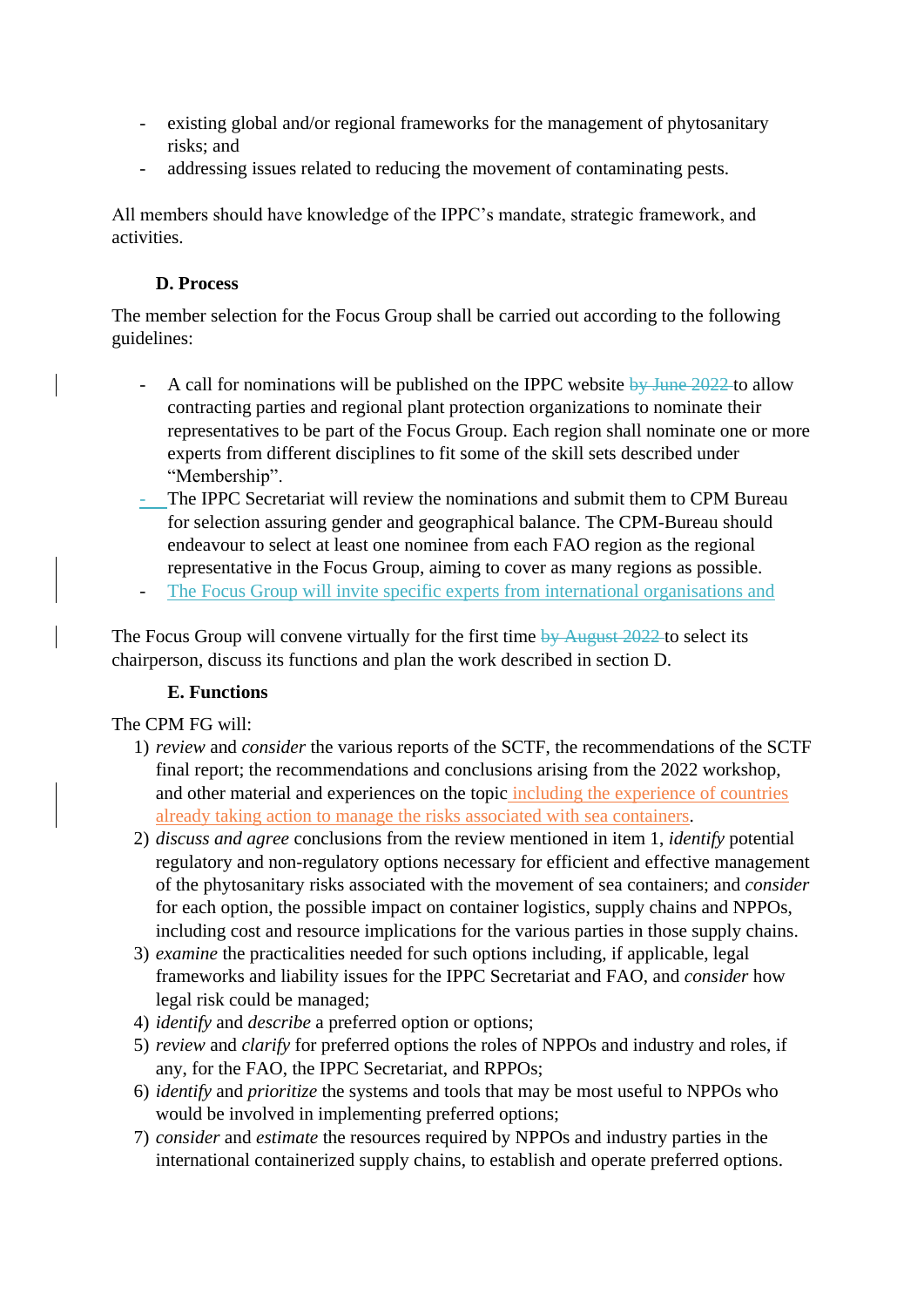- existing global and/or regional frameworks for the management of phytosanitary risks; and
- addressing issues related to reducing the movement of contaminating pests.

All members should have knowledge of the IPPC's mandate, strategic framework, and activities.

## **D. Process**

The member selection for the Focus Group shall be carried out according to the following guidelines:

- A call for nominations will be published on the IPPC website  $\frac{by June 2022}{by June 2022}$  to allow contracting parties and regional plant protection organizations to nominate their representatives to be part of the Focus Group. Each region shall nominate one or more experts from different disciplines to fit some of the skill sets described under "Membership".
- The IPPC Secretariat will review the nominations and submit them to CPM Bureau for selection assuring gender and geographical balance. The CPM-Bureau should endeavour to select at least one nominee from each FAO region as the regional representative in the Focus Group, aiming to cover as many regions as possible.
- The Focus Group will invite specific experts from international organisations and

The Focus Group will convene virtually for the first time by August 2022 to select its chairperson, discuss its functions and plan the work described in section D.

## **E. Functions**

The CPM FG will:

- 1) *review* and *consider* the various reports of the SCTF, the recommendations of the SCTF final report; the recommendations and conclusions arising from the 2022 workshop, and other material and experiences on the topic including the experience of countries already taking action to manage the risks associated with sea containers.
- 2) *discuss and agree* conclusions from the review mentioned in item 1, *identify* potential regulatory and non-regulatory options necessary for efficient and effective management of the phytosanitary risks associated with the movement of sea containers; and *consider* for each option, the possible impact on container logistics, supply chains and NPPOs, including cost and resource implications for the various parties in those supply chains.
- 3) *examine* the practicalities needed for such options including, if applicable, legal frameworks and liability issues for the IPPC Secretariat and FAO, and *consider* how legal risk could be managed;
- 4) *identify* and *describe* a preferred option or options;
- 5) *review* and *clarify* for preferred options the roles of NPPOs and industry and roles, if any, for the FAO, the IPPC Secretariat, and RPPOs;
- 6) *identify* and *prioritize* the systems and tools that may be most useful to NPPOs who would be involved in implementing preferred options;
- 7) *consider* and *estimate* the resources required by NPPOs and industry parties in the international containerized supply chains, to establish and operate preferred options.